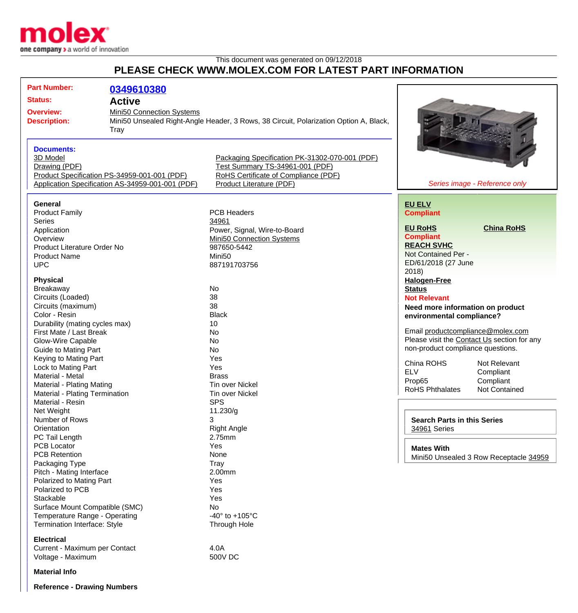

## This document was generated on 09/12/2018 **PLEASE CHECK WWW.MOLEX.COM FOR LATEST PART INFORMATION**

| <b>Part Number:</b>                                                                                                              | 0349610380                                                                                       |                                                                                                                                                       |                                                                                                                                                    |                                                         |
|----------------------------------------------------------------------------------------------------------------------------------|--------------------------------------------------------------------------------------------------|-------------------------------------------------------------------------------------------------------------------------------------------------------|----------------------------------------------------------------------------------------------------------------------------------------------------|---------------------------------------------------------|
| <b>Status:</b>                                                                                                                   | <b>Active</b>                                                                                    |                                                                                                                                                       |                                                                                                                                                    |                                                         |
| Mini50 Connection Systems<br><b>Overview:</b><br><b>Description:</b><br>Tray                                                     |                                                                                                  | Mini50 Unsealed Right-Angle Header, 3 Rows, 38 Circuit, Polarization Option A, Black,                                                                 |                                                                                                                                                    |                                                         |
| <b>Documents:</b><br>3D Model<br>Drawing (PDF)                                                                                   | Product Specification PS-34959-001-001 (PDF)<br>Application Specification AS-34959-001-001 (PDF) | Packaging Specification PK-31302-070-001 (PDF)<br>Test Summary TS-34961-001 (PDF)<br>RoHS Certificate of Compliance (PDF)<br>Product Literature (PDF) |                                                                                                                                                    | Series image - Reference only                           |
| General<br><b>Product Family</b><br><b>Series</b>                                                                                |                                                                                                  | <b>PCB Headers</b><br>34961                                                                                                                           | <b>EU ELV</b><br><b>Compliant</b><br><b>EU RoHS</b>                                                                                                | <b>China RoHS</b>                                       |
| Application<br>Overview<br>Product Literature Order No<br><b>Product Name</b><br><b>UPC</b>                                      |                                                                                                  | Power, Signal, Wire-to-Board<br>Mini50 Connection Systems<br>987650-5442<br>Mini <sub>50</sub><br>887191703756                                        | <b>Compliant</b><br><b>REACH SVHC</b><br>Not Contained Per -<br>ED/61/2018 (27 June                                                                |                                                         |
| <b>Physical</b><br>Breakaway<br>Circuits (Loaded)<br>Circuits (maximum)                                                          |                                                                                                  | No<br>38<br>38                                                                                                                                        | 2018<br><b>Halogen-Free</b><br><b>Status</b><br><b>Not Relevant</b><br>Need more information on product                                            |                                                         |
| Color - Resin<br>Durability (mating cycles max)<br>First Mate / Last Break<br>Glow-Wire Capable<br><b>Guide to Mating Part</b>   |                                                                                                  | <b>Black</b><br>10<br><b>No</b><br>No<br>No                                                                                                           | environmental compliance?<br>Email productcompliance@molex.com<br>Please visit the Contact Us section for any<br>non-product compliance questions. |                                                         |
| Keying to Mating Part<br>Lock to Mating Part<br>Material - Metal<br>Material - Plating Mating<br>Material - Plating Termination  |                                                                                                  | Yes<br>Yes<br><b>Brass</b><br><b>Tin over Nickel</b><br><b>Tin over Nickel</b>                                                                        | China ROHS<br><b>ELV</b><br>Prop65<br><b>RoHS Phthalates</b>                                                                                       | Not Relevant<br>Compliant<br>Compliant<br>Not Contained |
| Material - Resin<br>Net Weight<br>Number of Rows<br>Orientation<br>PC Tail Length<br><b>PCB Locator</b>                          |                                                                                                  | <b>SPS</b><br>11.230/g<br>3<br>Right Angle<br>2.75mm<br>Yes                                                                                           | <b>Search Parts in this Series</b><br>34961 Series                                                                                                 |                                                         |
| <b>PCB Retention</b><br>Packaging Type<br>Pitch - Mating Interface<br>Polarized to Mating Part                                   |                                                                                                  | None<br>Tray<br>2.00mm<br>Yes                                                                                                                         | <b>Mates With</b>                                                                                                                                  | Mini50 Unsealed 3 Row Receptacle 34959                  |
| Polarized to PCB<br>Stackable<br>Surface Mount Compatible (SMC)<br>Temperature Range - Operating<br>Termination Interface: Style |                                                                                                  | Yes<br>Yes<br>No<br>-40 $\degree$ to +105 $\degree$ C<br>Through Hole                                                                                 |                                                                                                                                                    |                                                         |
| <b>Electrical</b><br>Current - Maximum per Contact<br>Voltage - Maximum                                                          |                                                                                                  | 4.0A<br>500V DC                                                                                                                                       |                                                                                                                                                    |                                                         |
| <b>Material Info</b>                                                                                                             |                                                                                                  |                                                                                                                                                       |                                                                                                                                                    |                                                         |
| <b>Reference - Drawing Numbers</b>                                                                                               |                                                                                                  |                                                                                                                                                       |                                                                                                                                                    |                                                         |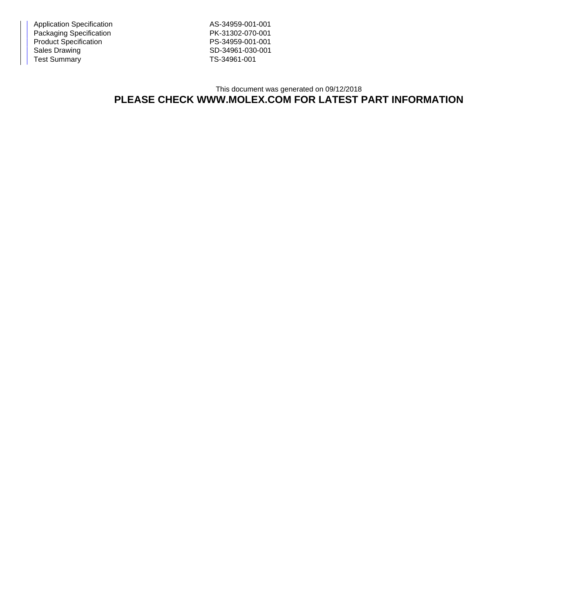Application Specification AS-34959-001-001 Packaging Specification **PK-31302-070-001** Product Specification PS-34959-001-001<br>
Sales Drawing PS-34961-030-001 Test Summary TS-34961-001

SD-34961-030-001

## This document was generated on 09/12/2018 **PLEASE CHECK WWW.MOLEX.COM FOR LATEST PART INFORMATION**